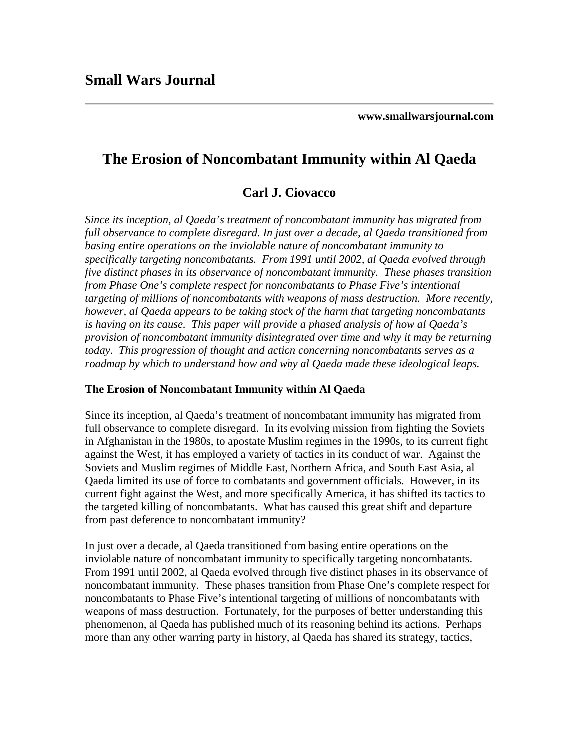**[www.smallwarsjournal.com](http://www.smallwarsjournal.com/)**

# **The Erosion of Noncombatant Immunity within Al Qaeda**

## **Carl J. Ciovacco**

*Since its inception, al Qaeda's treatment of noncombatant immunity has migrated from full observance to complete disregard. In just over a decade, al Qaeda transitioned from basing entire operations on the inviolable nature of noncombatant immunity to specifically targeting noncombatants. From 1991 until 2002, al Qaeda evolved through five distinct phases in its observance of noncombatant immunity. These phases transition from Phase One's complete respect for noncombatants to Phase Five's intentional targeting of millions of noncombatants with weapons of mass destruction. More recently, however, al Qaeda appears to be taking stock of the harm that targeting noncombatants is having on its cause. This paper will provide a phased analysis of how al Qaeda's provision of noncombatant immunity disintegrated over time and why it may be returning today. This progression of thought and action concerning noncombatants serves as a roadmap by which to understand how and why al Qaeda made these ideological leaps.* 

#### **The Erosion of Noncombatant Immunity within Al Qaeda**

Since its inception, al Qaeda's treatment of noncombatant immunity has migrated from full observance to complete disregard. In its evolving mission from fighting the Soviets in Afghanistan in the 1980s, to apostate Muslim regimes in the 1990s, to its current fight against the West, it has employed a variety of tactics in its conduct of war. Against the Soviets and Muslim regimes of Middle East, Northern Africa, and South East Asia, al Qaeda limited its use of force to combatants and government officials. However, in its current fight against the West, and more specifically America, it has shifted its tactics to the targeted killing of noncombatants. What has caused this great shift and departure from past deference to noncombatant immunity?

In just over a decade, al Qaeda transitioned from basing entire operations on the inviolable nature of noncombatant immunity to specifically targeting noncombatants. From 1991 until 2002, al Qaeda evolved through five distinct phases in its observance of noncombatant immunity. These phases transition from Phase One's complete respect for noncombatants to Phase Five's intentional targeting of millions of noncombatants with weapons of mass destruction. Fortunately, for the purposes of better understanding this phenomenon, al Qaeda has published much of its reasoning behind its actions. Perhaps more than any other warring party in history, al Qaeda has shared its strategy, tactics,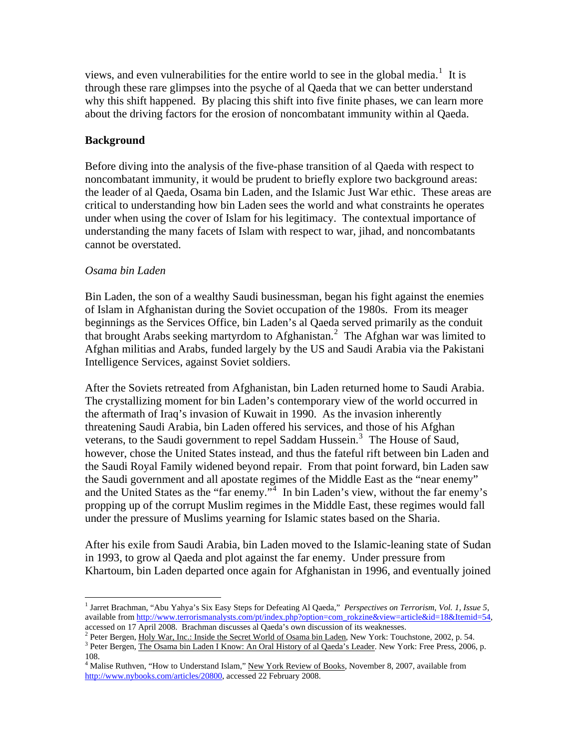views, and even vulnerabilities for the entire world to see in the global media.<sup>[1](#page-1-0)</sup> It is through these rare glimpses into the psyche of al Qaeda that we can better understand why this shift happened. By placing this shift into five finite phases, we can learn more about the driving factors for the erosion of noncombatant immunity within al Qaeda.

### **Background**

Before diving into the analysis of the five-phase transition of al Qaeda with respect to noncombatant immunity, it would be prudent to briefly explore two background areas: the leader of al Qaeda, Osama bin Laden, and the Islamic Just War ethic. These areas are critical to understanding how bin Laden sees the world and what constraints he operates under when using the cover of Islam for his legitimacy. The contextual importance of understanding the many facets of Islam with respect to war, jihad, and noncombatants cannot be overstated.

### *Osama bin Laden*

Bin Laden, the son of a wealthy Saudi businessman, began his fight against the enemies of Islam in Afghanistan during the Soviet occupation of the 1980s. From its meager beginnings as the Services Office, bin Laden's al Qaeda served primarily as the conduit that brought Arabs seeking martyrdom to Afghanistan.<sup>[2](#page-1-1)</sup> The Afghan war was limited to Afghan militias and Arabs, funded largely by the US and Saudi Arabia via the Pakistani Intelligence Services, against Soviet soldiers.

After the Soviets retreated from Afghanistan, bin Laden returned home to Saudi Arabia. The crystallizing moment for bin Laden's contemporary view of the world occurred in the aftermath of Iraq's invasion of Kuwait in 1990. As the invasion inherently threatening Saudi Arabia, bin Laden offered his services, and those of his Afghan veterans, to the Saudi government to repel Saddam Hussein.<sup>[3](#page-1-2)</sup> The House of Saud, however, chose the United States instead, and thus the fateful rift between bin Laden and the Saudi Royal Family widened beyond repair. From that point forward, bin Laden saw the Saudi government and all apostate regimes of the Middle East as the "near enemy" and the United States as the "far enemy."<sup>[4](#page-1-3)</sup> In bin Laden's view, without the far enemy's propping up of the corrupt Muslim regimes in the Middle East, these regimes would fall under the pressure of Muslims yearning for Islamic states based on the Sharia.

After his exile from Saudi Arabia, bin Laden moved to the Islamic-leaning state of Sudan in 1993, to grow al Qaeda and plot against the far enemy. Under pressure from Khartoum, bin Laden departed once again for Afghanistan in 1996, and eventually joined

<span id="page-1-0"></span><sup>&</sup>lt;u>.</u> 1 Jarret Brachman, "Abu Yahya's Six Easy Steps for Defeating Al Qaeda," *Perspectives on Terrorism*, *Vol. 1, Issue 5*, available from [http://www.terrorismanalysts.com/pt/index.php?option=com\\_rokzine&view=article&id=18&Itemid=54,](http://www.terrorismanalysts.com/pt/index.php?option=com_rokzine&view=article&id=18&Itemid=54) accessed on 17 April 2008. Brachman discusses al Qaeda's own discussion of its weaknesses. 2

<sup>&</sup>lt;sup>2</sup> Peter Bergen, Holy War, Inc.: Inside the Secret World of Osama bin Laden, New York: Touchstone, 2002, p. 54.

<span id="page-1-2"></span><span id="page-1-1"></span><sup>&</sup>lt;sup>3</sup> Peter Bergen, *The Osama bin Laden I Know: An Oral History of al Qaeda's Leader*. New York: Free Press, 2006, p. 108.

<span id="page-1-3"></span><sup>&</sup>lt;sup>4</sup> Malise Ruthven, "How to Understand Islam," New York Review of Books, November 8, 2007, available from <http://www.nybooks.com/articles/20800>, accessed 22 February 2008.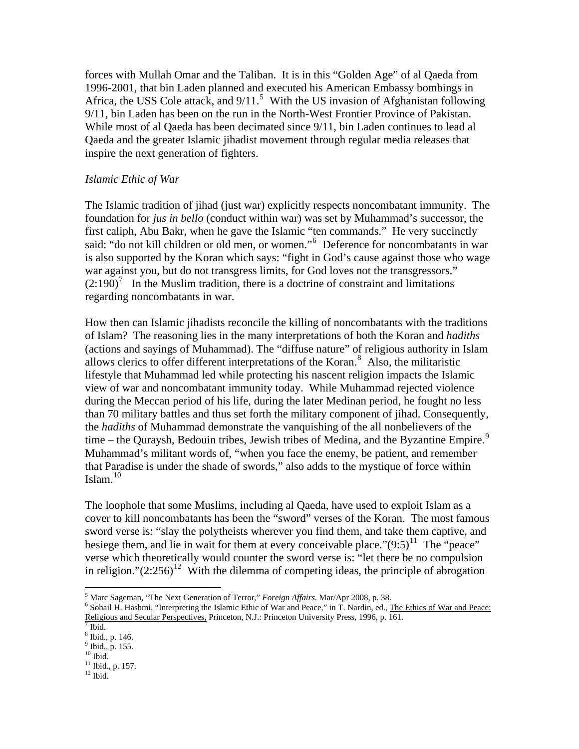forces with Mullah Omar and the Taliban. It is in this "Golden Age" of al Qaeda from 1996-2001, that bin Laden planned and executed his American Embassy bombings in Africa, the USS Cole attack, and  $9/11$ .<sup>[5](#page-2-0)</sup> With the US invasion of Afghanistan following 9/11, bin Laden has been on the run in the North-West Frontier Province of Pakistan. While most of al Qaeda has been decimated since 9/11, bin Laden continues to lead al Qaeda and the greater Islamic jihadist movement through regular media releases that inspire the next generation of fighters.

#### *Islamic Ethic of War*

The Islamic tradition of jihad (just war) explicitly respects noncombatant immunity. The foundation for *jus in bello* (conduct within war) was set by Muhammad's successor, the first caliph, Abu Bakr, when he gave the Islamic "ten commands." He very succinctly said: "do not kill children or old men, or women."<sup>[6](#page-2-1)</sup> Deference for noncombatants in war is also supported by the Koran which says: "fight in God's cause against those who wage war against you, but do not transgress limits, for God loves not the transgressors."  $(2:190)^7$  $(2:190)^7$  In the Muslim tradition, there is a doctrine of constraint and limitations regarding noncombatants in war.

How then can Islamic jihadists reconcile the killing of noncombatants with the traditions of Islam? The reasoning lies in the many interpretations of both the Koran and *hadiths* (actions and sayings of Muhammad). The "diffuse nature" of religious authority in Islam allows clerics to offer different interpretations of the Koran. $8$  Also, the militaristic lifestyle that Muhammad led while protecting his nascent religion impacts the Islamic view of war and noncombatant immunity today. While Muhammad rejected violence during the Meccan period of his life, during the later Medinan period, he fought no less than 70 military battles and thus set forth the military component of jihad. Consequently, the *hadiths* of Muhammad demonstrate the vanquishing of the all nonbelievers of the time – the Quraysh, Bedouin tribes, Jewish tribes of Medina, and the Byzantine Empire.<sup>[9](#page-2-4)</sup> Muhammad's militant words of, "when you face the enemy, be patient, and remember that Paradise is under the shade of swords," also adds to the mystique of force within Islam. $10$ 

The loophole that some Muslims, including al Qaeda, have used to exploit Islam as a cover to kill noncombatants has been the "sword" verses of the Koran. The most famous sword verse is: "slay the polytheists wherever you find them, and take them captive, and besiege them, and lie in wait for them at every conceivable place." $(9.5)^{11}$  $(9.5)^{11}$  $(9.5)^{11}$  The "peace" verse which theoretically would counter the sword verse is: "let there be no compulsion in religion." $(2:256)^{12}$  $(2:256)^{12}$  $(2:256)^{12}$  With the dilemma of competing ideas, the principle of abrogation

<sup>&</sup>lt;sup>5</sup> Marc Sageman, "The Next Generation of Terror," *Foreign Affairs*. Mar/Apr 2008, p. 38.  $\frac{6}{5}$  Sobeil H, Hachmi, "Interpreting the Islamic Ethio of War and Peace," in T. Nordin ed. T.

<span id="page-2-1"></span><span id="page-2-0"></span><sup>&</sup>lt;sup>6</sup> Sohail H. Hashmi, "Interpreting the Islamic Ethic of War and Peace," in T. Nardin, ed., The Ethics of War and Peace: Religious and Secular Perspectives, Princeton, N.J.: Princeton University Press, 1996, p. 161. 7

<span id="page-2-2"></span> $^7$  Ibid.

<sup>8</sup> Ibid., p. 146.

<span id="page-2-4"></span><span id="page-2-3"></span><sup>9</sup> Ibid., p. 155.  $^{\rm 10}$  Ibid.

<span id="page-2-6"></span><span id="page-2-5"></span><sup>&</sup>lt;sup>11</sup> Ibid., p. 157.

<span id="page-2-7"></span> $12$  Ibid.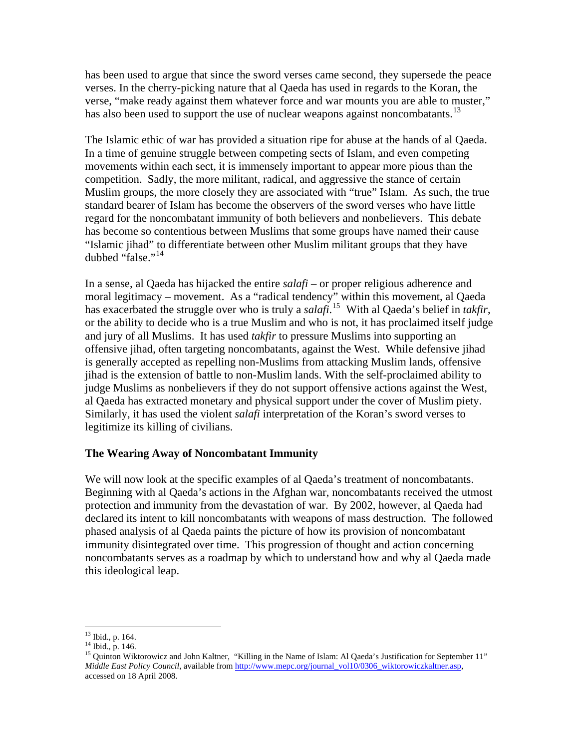has been used to argue that since the sword verses came second, they supersede the peace verses. In the cherry-picking nature that al Qaeda has used in regards to the Koran, the verse, "make ready against them whatever force and war mounts you are able to muster," has also been used to support the use of nuclear weapons against noncombatants.<sup>[13](#page-3-0)</sup>

The Islamic ethic of war has provided a situation ripe for abuse at the hands of al Qaeda. In a time of genuine struggle between competing sects of Islam, and even competing movements within each sect, it is immensely important to appear more pious than the competition. Sadly, the more militant, radical, and aggressive the stance of certain Muslim groups, the more closely they are associated with "true" Islam. As such, the true standard bearer of Islam has become the observers of the sword verses who have little regard for the noncombatant immunity of both believers and nonbelievers. This debate has become so contentious between Muslims that some groups have named their cause "Islamic jihad" to differentiate between other Muslim militant groups that they have dubbed "false."<sup>[14](#page-3-1)</sup>

In a sense, al Qaeda has hijacked the entire *salafi* – or proper religious adherence and moral legitimacy – movement. As a "radical tendency" within this movement, al Qaeda has exacerbated the struggle over who is truly a *salafi*. [15](#page-3-2) With al Qaeda's belief in *takfir*, or the ability to decide who is a true Muslim and who is not, it has proclaimed itself judge and jury of all Muslims. It has used *takfir* to pressure Muslims into supporting an offensive jihad, often targeting noncombatants, against the West. While defensive jihad is generally accepted as repelling non-Muslims from attacking Muslim lands, offensive jihad is the extension of battle to non-Muslim lands. With the self-proclaimed ability to judge Muslims as nonbelievers if they do not support offensive actions against the West, al Qaeda has extracted monetary and physical support under the cover of Muslim piety. Similarly, it has used the violent *salafi* interpretation of the Koran's sword verses to legitimize its killing of civilians.

### **The Wearing Away of Noncombatant Immunity**

We will now look at the specific examples of al Qaeda's treatment of noncombatants. Beginning with al Qaeda's actions in the Afghan war, noncombatants received the utmost protection and immunity from the devastation of war. By 2002, however, al Qaeda had declared its intent to kill noncombatants with weapons of mass destruction. The followed phased analysis of al Qaeda paints the picture of how its provision of noncombatant immunity disintegrated over time. This progression of thought and action concerning noncombatants serves as a roadmap by which to understand how and why al Qaeda made this ideological leap.

 $\overline{a}$ 13 Ibid., p. 164.

<span id="page-3-1"></span><span id="page-3-0"></span><sup>14</sup> Ibid., p. 146.

<span id="page-3-2"></span><sup>&</sup>lt;sup>15</sup> Quinton Wiktorowicz and John Kaltner, "Killing in the Name of Islam: Al Qaeda's Justification for September 11" *Middle East Policy Council*, available from [http://www.mepc.org/journal\\_vol10/0306\\_wiktorowiczkaltner.asp,](http://www.mepc.org/journal_vol10/0306_wiktorowiczkaltner.asp) accessed on 18 April 2008.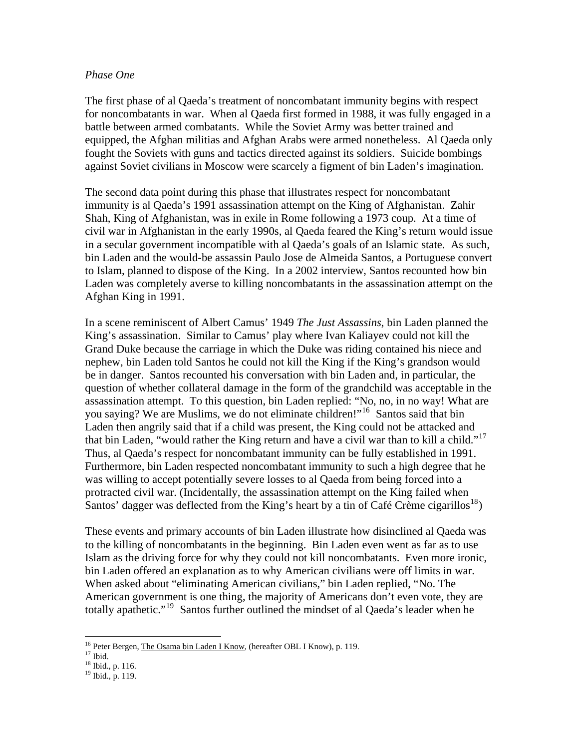#### *Phase One*

The first phase of al Qaeda's treatment of noncombatant immunity begins with respect for noncombatants in war. When al Qaeda first formed in 1988, it was fully engaged in a battle between armed combatants. While the Soviet Army was better trained and equipped, the Afghan militias and Afghan Arabs were armed nonetheless. Al Qaeda only fought the Soviets with guns and tactics directed against its soldiers. Suicide bombings against Soviet civilians in Moscow were scarcely a figment of bin Laden's imagination.

The second data point during this phase that illustrates respect for noncombatant immunity is al Qaeda's 1991 assassination attempt on the King of Afghanistan. Zahir Shah, King of Afghanistan, was in exile in Rome following a 1973 coup. At a time of civil war in Afghanistan in the early 1990s, al Qaeda feared the King's return would issue in a secular government incompatible with al Qaeda's goals of an Islamic state. As such, bin Laden and the would-be assassin Paulo Jose de Almeida Santos, a Portuguese convert to Islam, planned to dispose of the King. In a 2002 interview, Santos recounted how bin Laden was completely averse to killing noncombatants in the assassination attempt on the Afghan King in 1991.

In a scene reminiscent of Albert Camus' 1949 *The Just Assassins*, bin Laden planned the King's assassination. Similar to Camus' play where Ivan Kaliayev could not kill the Grand Duke because the carriage in which the Duke was riding contained his niece and nephew, bin Laden told Santos he could not kill the King if the King's grandson would be in danger. Santos recounted his conversation with bin Laden and, in particular, the question of whether collateral damage in the form of the grandchild was acceptable in the assassination attempt. To this question, bin Laden replied: "No, no, in no way! What are you saying? We are Muslims, we do not eliminate children!"<sup>[16](#page-4-0)</sup> Santos said that bin Laden then angrily said that if a child was present, the King could not be attacked and that bin Laden, "would rather the King return and have a civil war than to kill a child."[17](#page-4-1) Thus, al Qaeda's respect for noncombatant immunity can be fully established in 1991. Furthermore, bin Laden respected noncombatant immunity to such a high degree that he was willing to accept potentially severe losses to al Qaeda from being forced into a protracted civil war. (Incidentally, the assassination attempt on the King failed when Santos' dagger was deflected from the King's heart by a tin of Café Crème cigarillos<sup>[18](#page-4-2)</sup>)

These events and primary accounts of bin Laden illustrate how disinclined al Qaeda was to the killing of noncombatants in the beginning. Bin Laden even went as far as to use Islam as the driving force for why they could not kill noncombatants. Even more ironic, bin Laden offered an explanation as to why American civilians were off limits in war. When asked about "eliminating American civilians," bin Laden replied, "No. The American government is one thing, the majority of Americans don't even vote, they are totally apathetic."<sup>[19](#page-4-3)</sup> Santos further outlined the mindset of al Qaeda's leader when he

<sup>&</sup>lt;sup>16</sup> Peter Bergen, <u>The Osama bin Laden I Know</u>, (hereafter OBL I Know), p. 119.<br><sup>17</sup> Ibid.

<span id="page-4-1"></span><span id="page-4-0"></span> $^{17}$  Ibid.<br> $^{18}$  Ibid., p. 116.

<span id="page-4-3"></span><span id="page-4-2"></span><sup>19</sup> Ibid., p. 119.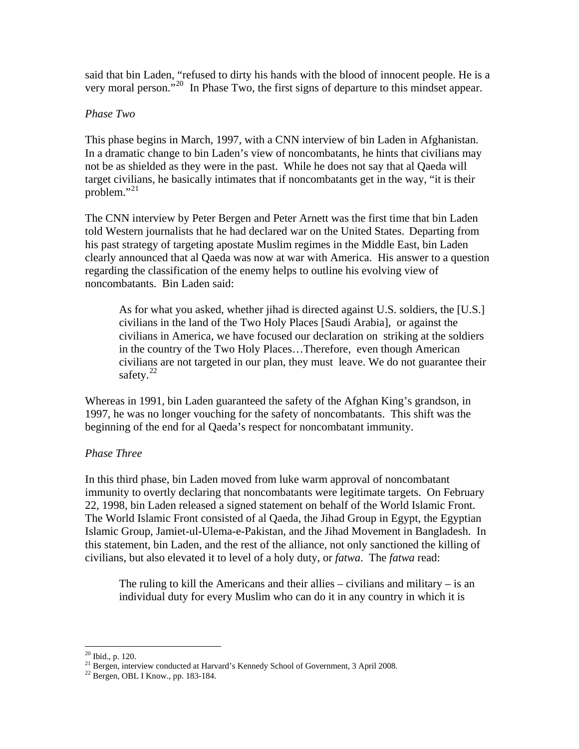said that bin Laden, "refused to dirty his hands with the blood of innocent people. He is a very moral person."[20](#page-5-0) In Phase Two, the first signs of departure to this mindset appear.

#### *Phase Two*

This phase begins in March, 1997, with a CNN interview of bin Laden in Afghanistan. In a dramatic change to bin Laden's view of noncombatants, he hints that civilians may not be as shielded as they were in the past. While he does not say that al Qaeda will target civilians, he basically intimates that if noncombatants get in the way, "it is their problem." $^{21}$  $^{21}$  $^{21}$ 

The CNN interview by Peter Bergen and Peter Arnett was the first time that bin Laden told Western journalists that he had declared war on the United States. Departing from his past strategy of targeting apostate Muslim regimes in the Middle East, bin Laden clearly announced that al Qaeda was now at war with America. His answer to a question regarding the classification of the enemy helps to outline his evolving view of noncombatants. Bin Laden said:

As for what you asked, whether jihad is directed against U.S. soldiers, the [U.S.] civilians in the land of the Two Holy Places [Saudi Arabia], or against the civilians in America, we have focused our declaration on striking at the soldiers in the country of the Two Holy Places…Therefore, even though American civilians are not targeted in our plan, they must leave. We do not guarantee their safety. $22$ 

Whereas in 1991, bin Laden guaranteed the safety of the Afghan King's grandson, in 1997, he was no longer vouching for the safety of noncombatants. This shift was the beginning of the end for al Qaeda's respect for noncombatant immunity.

### *Phase Three*

In this third phase, bin Laden moved from luke warm approval of noncombatant immunity to overtly declaring that noncombatants were legitimate targets. On February 22, 1998, bin Laden released a signed statement on behalf of the World Islamic Front. The World Islamic Front consisted of al Qaeda, the Jihad Group in Egypt, the Egyptian Islamic Group, Jamiet-ul-Ulema-e-Pakistan, and the Jihad Movement in Bangladesh. In this statement, bin Laden, and the rest of the alliance, not only sanctioned the killing of civilians, but also elevated it to level of a holy duty, or *fatwa*. The *fatwa* read:

The ruling to kill the Americans and their allies  $-$  civilians and military  $-$  is an individual duty for every Muslim who can do it in any country in which it is

 $20$  Ibid., p. 120.

<span id="page-5-2"></span><span id="page-5-1"></span><span id="page-5-0"></span><sup>&</sup>lt;sup>21</sup> Bergen, interview conducted at Harvard's Kennedy School of Government, 3 April 2008.<br><sup>22</sup> Bergen, OBL I Know., pp. 183-184.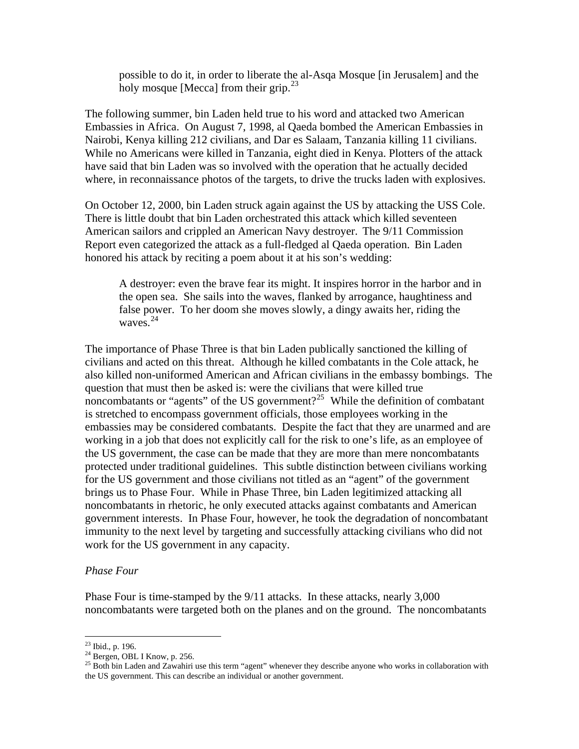possible to do it, in order to liberate the al-Asqa Mosque [in Jerusalem] and the holy mosque [Mecca] from their grip. $^{23}$  $^{23}$  $^{23}$ 

The following summer, bin Laden held true to his word and attacked two American Embassies in Africa. On August 7, 1998, al Qaeda bombed the American Embassies in Nairobi, Kenya killing 212 civilians, and Dar es Salaam, Tanzania killing 11 civilians. While no Americans were killed in Tanzania, eight died in Kenya. Plotters of the attack have said that bin Laden was so involved with the operation that he actually decided where, in reconnaissance photos of the targets, to drive the trucks laden with explosives.

On October 12, 2000, bin Laden struck again against the US by attacking the USS Cole. There is little doubt that bin Laden orchestrated this attack which killed seventeen American sailors and crippled an American Navy destroyer. The 9/11 Commission Report even categorized the attack as a full-fledged al Qaeda operation. Bin Laden honored his attack by reciting a poem about it at his son's wedding:

A destroyer: even the brave fear its might. It inspires horror in the harbor and in the open sea. She sails into the waves, flanked by arrogance, haughtiness and false power. To her doom she moves slowly, a dingy awaits her, riding the waves $24$ 

The importance of Phase Three is that bin Laden publically sanctioned the killing of civilians and acted on this threat. Although he killed combatants in the Cole attack, he also killed non-uniformed American and African civilians in the embassy bombings. The question that must then be asked is: were the civilians that were killed true noncombatants or "agents" of the US government?<sup>[25](#page-6-2)</sup> While the definition of combatant is stretched to encompass government officials, those employees working in the embassies may be considered combatants. Despite the fact that they are unarmed and are working in a job that does not explicitly call for the risk to one's life, as an employee of the US government, the case can be made that they are more than mere noncombatants protected under traditional guidelines. This subtle distinction between civilians working for the US government and those civilians not titled as an "agent" of the government brings us to Phase Four. While in Phase Three, bin Laden legitimized attacking all noncombatants in rhetoric, he only executed attacks against combatants and American government interests. In Phase Four, however, he took the degradation of noncombatant immunity to the next level by targeting and successfully attacking civilians who did not work for the US government in any capacity.

#### *Phase Four*

Phase Four is time-stamped by the 9/11 attacks. In these attacks, nearly 3,000 noncombatants were targeted both on the planes and on the ground. The noncombatants

 $23$  Ibid., p. 196.

<span id="page-6-1"></span><span id="page-6-0"></span><sup>&</sup>lt;sup>24</sup> Bergen, OBL I Know, p. 256.

<span id="page-6-2"></span> $25$  Both bin Laden and Zawahiri use this term "agent" whenever they describe anyone who works in collaboration with the US government. This can describe an individual or another government.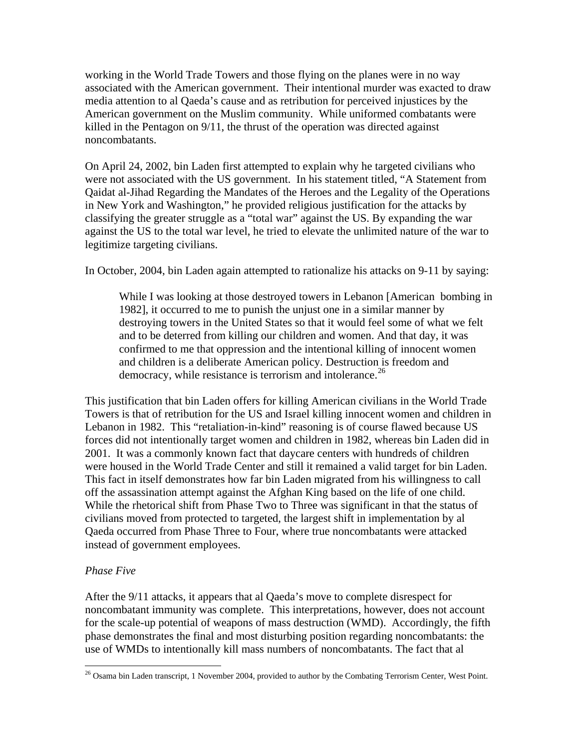working in the World Trade Towers and those flying on the planes were in no way associated with the American government. Their intentional murder was exacted to draw media attention to al Qaeda's cause and as retribution for perceived injustices by the American government on the Muslim community. While uniformed combatants were killed in the Pentagon on 9/11, the thrust of the operation was directed against noncombatants.

On April 24, 2002, bin Laden first attempted to explain why he targeted civilians who were not associated with the US government. In his statement titled, "A Statement from Qaidat al-Jihad Regarding the Mandates of the Heroes and the Legality of the Operations in New York and Washington," he provided religious justification for the attacks by classifying the greater struggle as a "total war" against the US. By expanding the war against the US to the total war level, he tried to elevate the unlimited nature of the war to legitimize targeting civilians.

In October, 2004, bin Laden again attempted to rationalize his attacks on 9-11 by saying:

While I was looking at those destroyed towers in Lebanon [American bombing in 1982], it occurred to me to punish the unjust one in a similar manner by destroying towers in the United States so that it would feel some of what we felt and to be deterred from killing our children and women. And that day, it was confirmed to me that oppression and the intentional killing of innocent women and children is a deliberate American policy. Destruction is freedom and democracy, while resistance is terrorism and intolerance.<sup>[26](#page-7-0)</sup>

This justification that bin Laden offers for killing American civilians in the World Trade Towers is that of retribution for the US and Israel killing innocent women and children in Lebanon in 1982. This "retaliation-in-kind" reasoning is of course flawed because US forces did not intentionally target women and children in 1982, whereas bin Laden did in 2001. It was a commonly known fact that daycare centers with hundreds of children were housed in the World Trade Center and still it remained a valid target for bin Laden. This fact in itself demonstrates how far bin Laden migrated from his willingness to call off the assassination attempt against the Afghan King based on the life of one child. While the rhetorical shift from Phase Two to Three was significant in that the status of civilians moved from protected to targeted, the largest shift in implementation by al Qaeda occurred from Phase Three to Four, where true noncombatants were attacked instead of government employees.

### *Phase Five*

 $\overline{a}$ 

After the 9/11 attacks, it appears that al Qaeda's move to complete disrespect for noncombatant immunity was complete. This interpretations, however, does not account for the scale-up potential of weapons of mass destruction (WMD). Accordingly, the fifth phase demonstrates the final and most disturbing position regarding noncombatants: the use of WMDs to intentionally kill mass numbers of noncombatants. The fact that al

<span id="page-7-0"></span> $^{26}$  Osama bin Laden transcript, 1 November 2004, provided to author by the Combating Terrorism Center, West Point.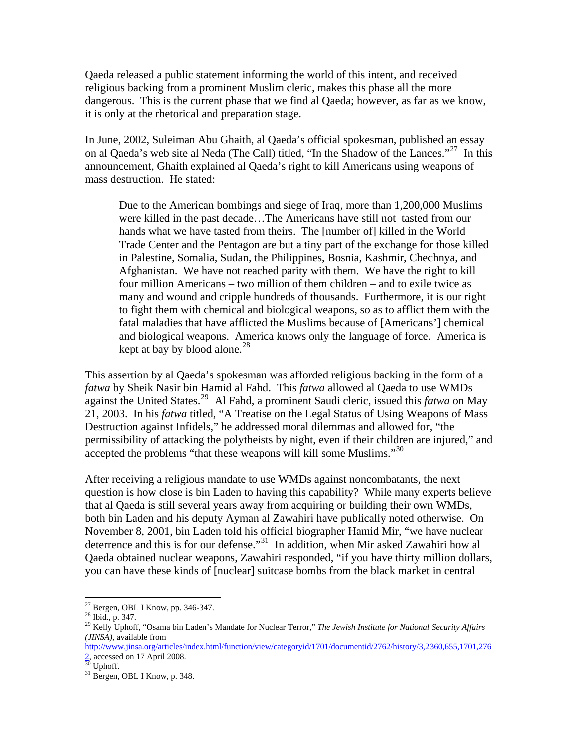Qaeda released a public statement informing the world of this intent, and received religious backing from a prominent Muslim cleric, makes this phase all the more dangerous. This is the current phase that we find al Qaeda; however, as far as we know, it is only at the rhetorical and preparation stage.

In June, 2002, Suleiman Abu Ghaith, al Qaeda's official spokesman, published an essay on al Qaeda's web site al Neda (The Call) titled, "In the Shadow of the Lances."<sup>[27](#page-8-0)</sup> In this announcement, Ghaith explained al Qaeda's right to kill Americans using weapons of mass destruction. He stated:

Due to the American bombings and siege of Iraq, more than 1,200,000 Muslims were killed in the past decade…The Americans have still not tasted from our hands what we have tasted from theirs. The [number of] killed in the World Trade Center and the Pentagon are but a tiny part of the exchange for those killed in Palestine, Somalia, Sudan, the Philippines, Bosnia, Kashmir, Chechnya, and Afghanistan. We have not reached parity with them. We have the right to kill four million Americans – two million of them children – and to exile twice as many and wound and cripple hundreds of thousands. Furthermore, it is our right to fight them with chemical and biological weapons, so as to afflict them with the fatal maladies that have afflicted the Muslims because of [Americans'] chemical and biological weapons. America knows only the language of force. America is kept at bay by blood alone. $^{28}$  $^{28}$  $^{28}$ 

This assertion by al Qaeda's spokesman was afforded religious backing in the form of a *fatwa* by Sheik Nasir bin Hamid al Fahd. This *fatwa* allowed al Qaeda to use WMDs against the United States.[29](#page-8-2) Al Fahd, a prominent Saudi cleric, issued this *fatwa* on May 21, 2003. In his *fatwa* titled, "A Treatise on the Legal Status of Using Weapons of Mass Destruction against Infidels," he addressed moral dilemmas and allowed for, "the permissibility of attacking the polytheists by night, even if their children are injured," and accepted the problems "that these weapons will kill some Muslims."<sup>[30](#page-8-3)</sup>

After receiving a religious mandate to use WMDs against noncombatants, the next question is how close is bin Laden to having this capability? While many experts believe that al Qaeda is still several years away from acquiring or building their own WMDs, both bin Laden and his deputy Ayman al Zawahiri have publically noted otherwise. On November 8, 2001, bin Laden told his official biographer Hamid Mir, "we have nuclear deterrence and this is for our defense."<sup>[31](#page-8-4)</sup> In addition, when Mir asked Zawahiri how al Qaeda obtained nuclear weapons, Zawahiri responded, "if you have thirty million dollars, you can have these kinds of [nuclear] suitcase bombs from the black market in central

 $\overline{a}$ 

[http://www.jinsa.org/articles/index.html/function/view/categoryid/1701/documentid/2762/history/3,2360,655,1701,276](http://www.jinsa.org/articles/index.html/function/view/categoryid/1701/documentid/2762/history/3,2360,655,1701,2762) [2](http://www.jinsa.org/articles/index.html/function/view/categoryid/1701/documentid/2762/history/3,2360,655,1701,2762), accessed on 17 April 2008.

 $27$  Bergen, OBL I Know, pp. 346-347.

<span id="page-8-1"></span><span id="page-8-0"></span><sup>28</sup> Ibid., p. 347.

<span id="page-8-2"></span><sup>29</sup> Kelly Uphoff, "Osama bin Laden's Mandate for Nuclear Terror," *The Jewish Institute for National Security Affairs (JINSA),* available from

 $30$  Uphoff.

<span id="page-8-4"></span><span id="page-8-3"></span><sup>&</sup>lt;sup>31</sup> Bergen, OBL I Know, p. 348.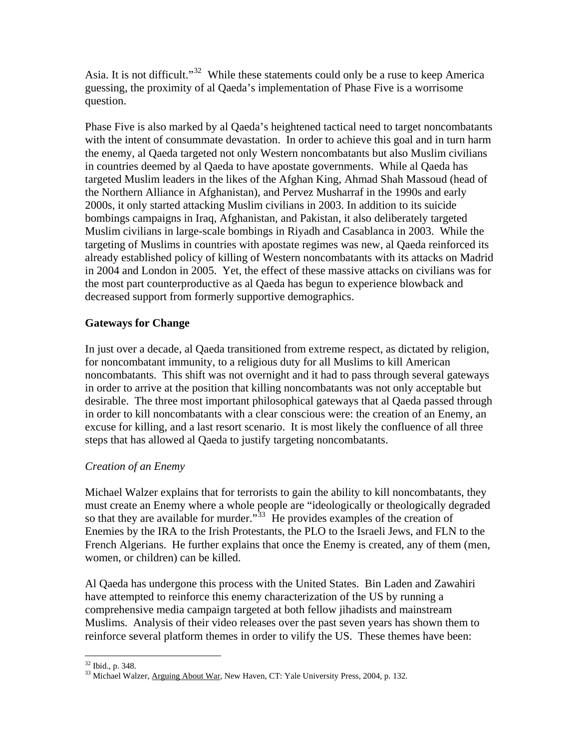Asia. It is not difficult."[32](#page-9-0) While these statements could only be a ruse to keep America guessing, the proximity of al Qaeda's implementation of Phase Five is a worrisome question.

Phase Five is also marked by al Qaeda's heightened tactical need to target noncombatants with the intent of consummate devastation. In order to achieve this goal and in turn harm the enemy, al Qaeda targeted not only Western noncombatants but also Muslim civilians in countries deemed by al Qaeda to have apostate governments. While al Qaeda has targeted Muslim leaders in the likes of the Afghan King, Ahmad Shah Massoud (head of the Northern Alliance in Afghanistan), and Pervez Musharraf in the 1990s and early 2000s, it only started attacking Muslim civilians in 2003. In addition to its suicide bombings campaigns in Iraq, Afghanistan, and Pakistan, it also deliberately targeted Muslim civilians in large-scale bombings in Riyadh and Casablanca in 2003. While the targeting of Muslims in countries with apostate regimes was new, al Qaeda reinforced its already established policy of killing of Western noncombatants with its attacks on Madrid in 2004 and London in 2005. Yet, the effect of these massive attacks on civilians was for the most part counterproductive as al Qaeda has begun to experience blowback and decreased support from formerly supportive demographics.

## **Gateways for Change**

In just over a decade, al Qaeda transitioned from extreme respect, as dictated by religion, for noncombatant immunity, to a religious duty for all Muslims to kill American noncombatants. This shift was not overnight and it had to pass through several gateways in order to arrive at the position that killing noncombatants was not only acceptable but desirable. The three most important philosophical gateways that al Qaeda passed through in order to kill noncombatants with a clear conscious were: the creation of an Enemy, an excuse for killing, and a last resort scenario. It is most likely the confluence of all three steps that has allowed al Qaeda to justify targeting noncombatants.

## *Creation of an Enemy*

Michael Walzer explains that for terrorists to gain the ability to kill noncombatants, they must create an Enemy where a whole people are "ideologically or theologically degraded so that they are available for murder.<sup>[33](#page-9-1)</sup> He provides examples of the creation of Enemies by the IRA to the Irish Protestants, the PLO to the Israeli Jews, and FLN to the French Algerians. He further explains that once the Enemy is created, any of them (men, women, or children) can be killed.

Al Qaeda has undergone this process with the United States. Bin Laden and Zawahiri have attempted to reinforce this enemy characterization of the US by running a comprehensive media campaign targeted at both fellow jihadists and mainstream Muslims. Analysis of their video releases over the past seven years has shown them to reinforce several platform themes in order to vilify the US. These themes have been:

 $\overline{a}$  $32$  Ibid., p. 348.

<span id="page-9-1"></span><span id="page-9-0"></span><sup>&</sup>lt;sup>33</sup> Michael Walzer, Arguing About War, New Haven, CT: Yale University Press, 2004, p. 132.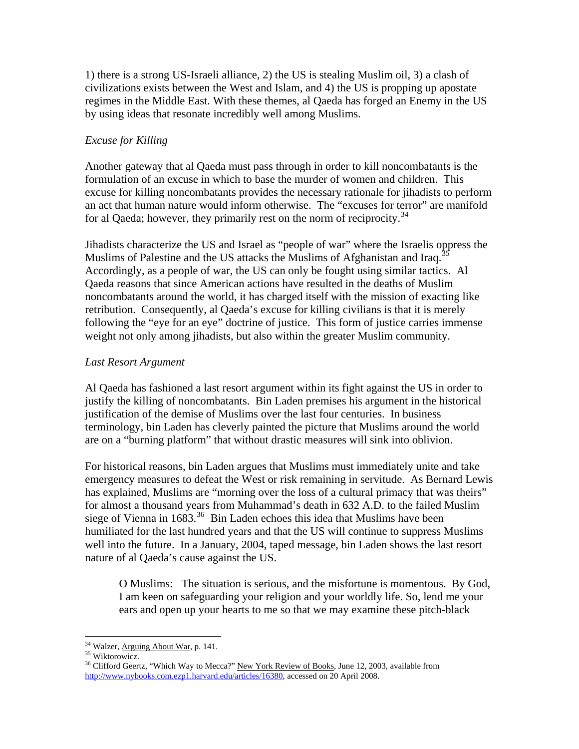1) there is a strong US-Israeli alliance, 2) the US is stealing Muslim oil, 3) a clash of civilizations exists between the West and Islam, and 4) the US is propping up apostate regimes in the Middle East. With these themes, al Qaeda has forged an Enemy in the US by using ideas that resonate incredibly well among Muslims.

## *Excuse for Killing*

Another gateway that al Qaeda must pass through in order to kill noncombatants is the formulation of an excuse in which to base the murder of women and children. This excuse for killing noncombatants provides the necessary rationale for jihadists to perform an act that human nature would inform otherwise. The "excuses for terror" are manifold for al Qaeda; however, they primarily rest on the norm of reciprocity.<sup>[34](#page-10-0)</sup>

Jihadists characterize the US and Israel as "people of war" where the Israelis oppress the Muslims of Palestine and the US attacks the Muslims of Afghanistan and Iraq.<sup>3</sup> Accordingly, as a people of war, the US can only be fought using similar tactics. Al Qaeda reasons that since American actions have resulted in the deaths of Muslim noncombatants around the world, it has charged itself with the mission of exacting like retribution. Consequently, al Qaeda's excuse for killing civilians is that it is merely following the "eye for an eye" doctrine of justice. This form of justice carries immense weight not only among jihadists, but also within the greater Muslim community.

### *Last Resort Argument*

Al Qaeda has fashioned a last resort argument within its fight against the US in order to justify the killing of noncombatants. Bin Laden premises his argument in the historical justification of the demise of Muslims over the last four centuries. In business terminology, bin Laden has cleverly painted the picture that Muslims around the world are on a "burning platform" that without drastic measures will sink into oblivion.

For historical reasons, bin Laden argues that Muslims must immediately unite and take emergency measures to defeat the West or risk remaining in servitude. As Bernard Lewis has explained, Muslims are "morning over the loss of a cultural primacy that was theirs" for almost a thousand years from Muhammad's death in 632 A.D. to the failed Muslim siege of Vienna in  $1683<sup>36</sup>$  $1683<sup>36</sup>$  $1683<sup>36</sup>$  Bin Laden echoes this idea that Muslims have been humiliated for the last hundred years and that the US will continue to suppress Muslims well into the future. In a January, 2004, taped message, bin Laden shows the last resort nature of al Qaeda's cause against the US.

O Muslims: The situation is serious, and the misfortune is momentous. By God, I am keen on safeguarding your religion and your worldly life. So, lend me your ears and open up your hearts to me so that we may examine these pitch-black

<sup>&</sup>lt;sup>34</sup> Walzer, <u>Arguing About War</u>, p. 141.<br><sup>35</sup> Wiktorowicz.

<span id="page-10-2"></span><span id="page-10-1"></span><span id="page-10-0"></span><sup>&</sup>lt;sup>35</sup> Wiktorowicz.<br><sup>36</sup> Clifford Geertz, "Which Way to Mecca?" New York Review of Books, June 12, 2003, available from <http://www.nybooks.com.ezp1.harvard.edu/articles/16380>, accessed on 20 April 2008.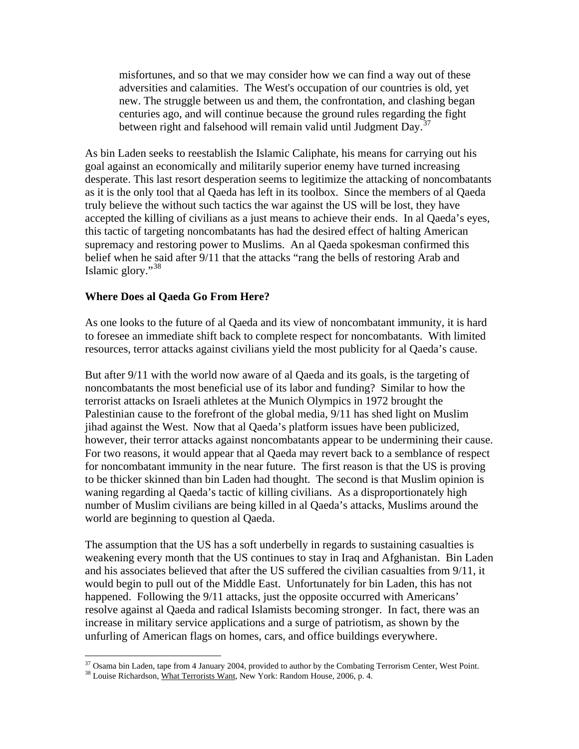misfortunes, and so that we may consider how we can find a way out of these adversities and calamities. The West's occupation of our countries is old, yet new. The struggle between us and them, the confrontation, and clashing began centuries ago, and will continue because the ground rules regarding the fight between right and falsehood will remain valid until Judgment Day.<sup>[37](#page-11-0)</sup>

As bin Laden seeks to reestablish the Islamic Caliphate, his means for carrying out his goal against an economically and militarily superior enemy have turned increasing desperate. This last resort desperation seems to legitimize the attacking of noncombatants as it is the only tool that al Qaeda has left in its toolbox. Since the members of al Qaeda truly believe the without such tactics the war against the US will be lost, they have accepted the killing of civilians as a just means to achieve their ends. In al Qaeda's eyes, this tactic of targeting noncombatants has had the desired effect of halting American supremacy and restoring power to Muslims. An al Qaeda spokesman confirmed this belief when he said after 9/11 that the attacks "rang the bells of restoring Arab and Islamic glory."[38](#page-11-1)

### **Where Does al Qaeda Go From Here?**

As one looks to the future of al Qaeda and its view of noncombatant immunity, it is hard to foresee an immediate shift back to complete respect for noncombatants. With limited resources, terror attacks against civilians yield the most publicity for al Qaeda's cause.

But after 9/11 with the world now aware of al Qaeda and its goals, is the targeting of noncombatants the most beneficial use of its labor and funding? Similar to how the terrorist attacks on Israeli athletes at the Munich Olympics in 1972 brought the Palestinian cause to the forefront of the global media, 9/11 has shed light on Muslim jihad against the West. Now that al Qaeda's platform issues have been publicized, however, their terror attacks against noncombatants appear to be undermining their cause. For two reasons, it would appear that al Qaeda may revert back to a semblance of respect for noncombatant immunity in the near future. The first reason is that the US is proving to be thicker skinned than bin Laden had thought. The second is that Muslim opinion is waning regarding al Qaeda's tactic of killing civilians. As a disproportionately high number of Muslim civilians are being killed in al Qaeda's attacks, Muslims around the world are beginning to question al Qaeda.

The assumption that the US has a soft underbelly in regards to sustaining casualties is weakening every month that the US continues to stay in Iraq and Afghanistan. Bin Laden and his associates believed that after the US suffered the civilian casualties from 9/11, it would begin to pull out of the Middle East. Unfortunately for bin Laden, this has not happened. Following the 9/11 attacks, just the opposite occurred with Americans' resolve against al Qaeda and radical Islamists becoming stronger. In fact, there was an increase in military service applications and a surge of patriotism, as shown by the unfurling of American flags on homes, cars, and office buildings everywhere.

<span id="page-11-0"></span> $\overline{a}$ <sup>37</sup> Osama bin Laden, tape from 4 January 2004, provided to author by the Combating Terrorism Center, West Point.<br><sup>38</sup> Louise Richardson, <u>What Terrorists Want,</u> New York: Random House, 2006, p. 4.

<span id="page-11-1"></span>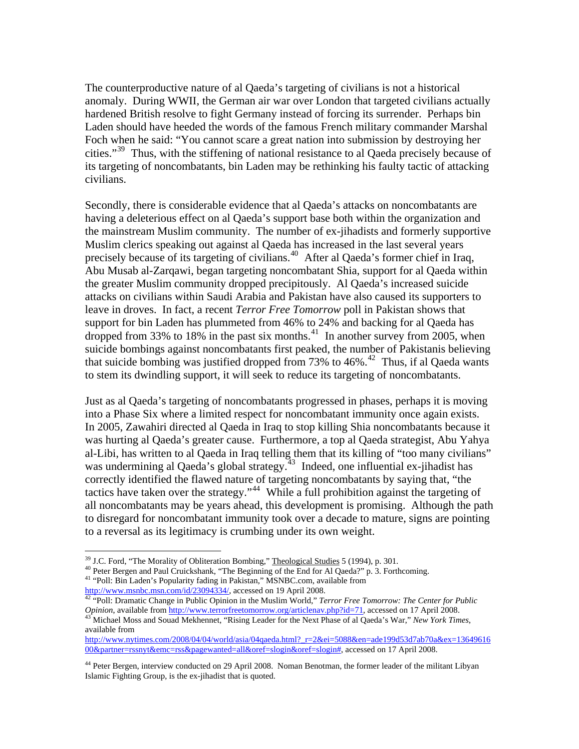The counterproductive nature of al Qaeda's targeting of civilians is not a historical anomaly. During WWII, the German air war over London that targeted civilians actually hardened British resolve to fight Germany instead of forcing its surrender. Perhaps bin Laden should have heeded the words of the famous French military commander Marshal Foch when he said: "You cannot scare a great nation into submission by destroying her cities."<sup>[39](#page-12-0)</sup> Thus, with the stiffening of national resistance to al Qaeda precisely because of its targeting of noncombatants, bin Laden may be rethinking his faulty tactic of attacking civilians.

Secondly, there is considerable evidence that al Qaeda's attacks on noncombatants are having a deleterious effect on al Qaeda's support base both within the organization and the mainstream Muslim community. The number of ex-jihadists and formerly supportive Muslim clerics speaking out against al Qaeda has increased in the last several years precisely because of its targeting of civilians.<sup>[40](#page-12-1)</sup> After al Qaeda's former chief in Iraq, Abu Musab al-Zarqawi, began targeting noncombatant Shia, support for al Qaeda within the greater Muslim community dropped precipitously. Al Qaeda's increased suicide attacks on civilians within Saudi Arabia and Pakistan have also caused its supporters to leave in droves. In fact, a recent *Terror Free Tomorrow* poll in Pakistan shows that support for bin Laden has plummeted from 46% to 24% and backing for al Qaeda has dropped from 33% to 18% in the past six months.<sup>[41](#page-12-2)</sup> In another survey from 2005, when suicide bombings against noncombatants first peaked, the number of Pakistanis believing that suicide bombing was justified dropped from 73% to 46%.<sup>[42](#page-12-3)</sup> Thus, if al Qaeda wants to stem its dwindling support, it will seek to reduce its targeting of noncombatants.

Just as al Qaeda's targeting of noncombatants progressed in phases, perhaps it is moving into a Phase Six where a limited respect for noncombatant immunity once again exists. In 2005, Zawahiri directed al Qaeda in Iraq to stop killing Shia noncombatants because it was hurting al Qaeda's greater cause. Furthermore, a top al Qaeda strategist, Abu Yahya al-Libi, has written to al Qaeda in Iraq telling them that its killing of "too many civilians" was undermining al Qaeda's global strategy.<sup>[43](#page-12-4)</sup> Indeed, one influential ex-jihadist has correctly identified the flawed nature of targeting noncombatants by saying that, "the tactics have taken over the strategy."<sup>[44](#page-12-5)</sup> While a full prohibition against the targeting of all noncombatants may be years ahead, this development is promising. Although the path to disregard for noncombatant immunity took over a decade to mature, signs are pointing to a reversal as its legitimacy is crumbing under its own weight.

<span id="page-12-4"></span><sup>43</sup> Michael Moss and Souad Mekhennet, "Rising Leader for the Next Phase of al Qaeda's War," New York Times, available from

[http://www.nytimes.com/2008/04/04/world/asia/04qaeda.html?\\_r=2&ei=5088&en=ade199d53d7ab70a&ex=13649616](http://www.nytimes.com/2008/04/04/world/asia/04qaeda.html?_r=2&ei=5088&en=ade199d53d7ab70a&ex=1364961600&partner=rssnyt&emc=rss&pagewanted=all&oref=slogin&oref=slogin) [00&partner=rssnyt&emc=rss&pagewanted=all&oref=slogin&oref=slogin#,](http://www.nytimes.com/2008/04/04/world/asia/04qaeda.html?_r=2&ei=5088&en=ade199d53d7ab70a&ex=1364961600&partner=rssnyt&emc=rss&pagewanted=all&oref=slogin&oref=slogin) accessed on 17 April 2008.

 $\overline{a}$ 

<span id="page-12-1"></span><span id="page-12-0"></span><sup>&</sup>lt;sup>39</sup> J.C. Ford, "The Morality of Obliteration Bombing," <u>Theological Studies</u> 5 (1994), p. 301.<br><sup>40</sup> Peter Bergen and Paul Cruickshank, "The Beginning of the End for Al Qaeda?" p. 3. Forthcoming.<br><sup>41</sup> "Poll: Bin Laden's P

<span id="page-12-3"></span><span id="page-12-2"></span><http://www.msnbc.msn.com/id/23094334/>, accessed on 19 April 2008.<br><sup>[42](http://www.msnbc.msn.com/id/23094334/)</sup> "Poll: Dramatic Change in Public Opinion in the Muslim World," *Terror Free Tomorrow: The Center for Public Opinion*, available from http://www.terrorf

<span id="page-12-5"></span><sup>&</sup>lt;sup>44</sup> Peter Bergen, interview conducted on 29 April 2008. Noman Benotman, the former leader of the militant Libyan Islamic Fighting Group, is the ex-jihadist that is quoted.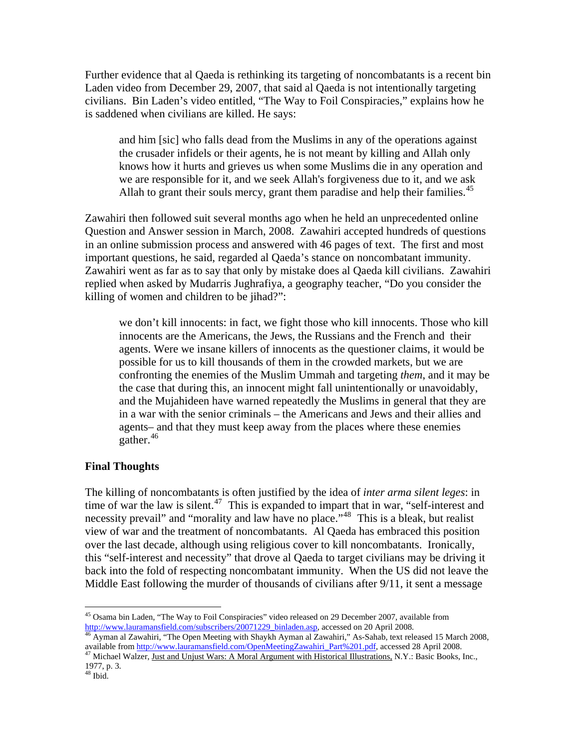Further evidence that al Qaeda is rethinking its targeting of noncombatants is a recent bin Laden video from December 29, 2007, that said al Qaeda is not intentionally targeting civilians. Bin Laden's video entitled, "The Way to Foil Conspiracies," explains how he is saddened when civilians are killed. He says:

and him [sic] who falls dead from the Muslims in any of the operations against the crusader infidels or their agents, he is not meant by killing and Allah only knows how it hurts and grieves us when some Muslims die in any operation and we are responsible for it, and we seek Allah's forgiveness due to it, and we ask Allah to grant their souls mercy, grant them paradise and help their families.<sup>[45](#page-13-0)</sup>

Zawahiri then followed suit several months ago when he held an unprecedented online Question and Answer session in March, 2008. Zawahiri accepted hundreds of questions in an online submission process and answered with 46 pages of text. The first and most important questions, he said, regarded al Qaeda's stance on noncombatant immunity. Zawahiri went as far as to say that only by mistake does al Qaeda kill civilians. Zawahiri replied when asked by Mudarris Jughrafiya, a geography teacher, "Do you consider the killing of women and children to be jihad?":

we don't kill innocents: in fact, we fight those who kill innocents. Those who kill innocents are the Americans, the Jews, the Russians and the French and their agents. Were we insane killers of innocents as the questioner claims, it would be possible for us to kill thousands of them in the crowded markets, but we are confronting the enemies of the Muslim Ummah and targeting *them*, and it may be the case that during this, an innocent might fall unintentionally or unavoidably, and the Mujahideen have warned repeatedly the Muslims in general that they are in a war with the senior criminals – the Americans and Jews and their allies and agents– and that they must keep away from the places where these enemies gather.<sup>[46](#page-13-1)</sup>

### **Final Thoughts**

The killing of noncombatants is often justified by the idea of *inter arma silent leges*: in time of war the law is silent.<sup>[47](#page-13-2)</sup> This is expanded to impart that in war, "self-interest and necessity prevail" and "morality and law have no place."<sup>[48](#page-13-3)</sup> This is a bleak, but realist view of war and the treatment of noncombatants. Al Qaeda has embraced this position over the last decade, although using religious cover to kill noncombatants. Ironically, this "self-interest and necessity" that drove al Qaeda to target civilians may be driving it back into the fold of respecting noncombatant immunity. When the US did not leave the Middle East following the murder of thousands of civilians after 9/11, it sent a message

<span id="page-13-0"></span> $\overline{a}$ <sup>45</sup> Osama bin Laden, "The Way to Foil Conspiracies" video released on 29 December 2007, available from [http://www.lauramansfield.com/subscribers/20071229\\_binladen.asp,](http://www.lauramansfield.com/subscribers/20071229_binladen.asp) accessed on 20 April 2008. [46](http://www.lauramansfield.com/subscribers/20071229_binladen.asp) Ayman al Zawahiri, "The Open Meeting with Shaykh Ayman al Zawahiri," As-Sahab, text released 15 March 2008,

<span id="page-13-1"></span>available from [http://www.lauramansfield.com/OpenMeetingZawahiri\\_Part%201.pdf,](http://www.lauramansfield.com/OpenMeetingZawahiri_Part%201.pdf) accessed 28 April 2008. 47 Michael Wa[lzer, Just and Unjust Wars: A Moral Argument with Historical Illustrati](http://www.lauramansfield.com/OpenMeetingZawahiri_Part%201.pdf)ons, N.Y.: Basic Books, Inc.,

<span id="page-13-2"></span><sup>1977,</sup> p. 3.

<span id="page-13-3"></span> $^{48}$  Ibid.  $\,$